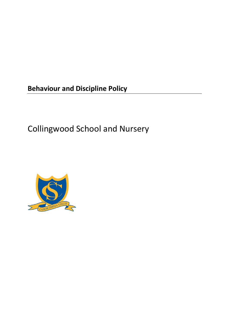**Behaviour and Discipline Policy**

Collingwood School and Nursery

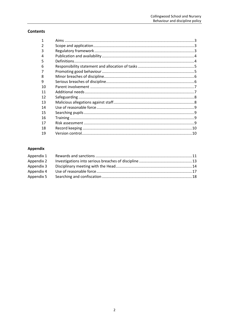# **Contents**

| 1  |  |
|----|--|
|    |  |
| 3  |  |
| 4  |  |
| 5  |  |
| 6  |  |
|    |  |
| 8  |  |
| 9  |  |
| 10 |  |
| 11 |  |
| 12 |  |
| 13 |  |
| 14 |  |
| 15 |  |
| 16 |  |
| 17 |  |
| 18 |  |
| 19 |  |

# Appendix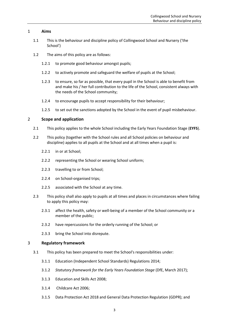## <span id="page-2-0"></span>1 **Aims**

- 1.1 This is the behaviour and discipline policy of Collingwood School and Nursery ('the School')
- 1.2 The aims of this policy are as follows:
	- 1.2.1 to promote good behaviour amongst pupils;
	- 1.2.2 to actively promote and safeguard the welfare of pupils at the School;
	- 1.2.3 to ensure, so far as possible, that every pupil in the School is able to benefit from and make his / her full contribution to the life of the School, consistent always with the needs of the School community;
	- 1.2.4 to encourage pupils to accept responsibility for their behaviour;
	- 1.2.5 to set out the sanctions adopted by the School in the event of pupil misbehaviour.

### <span id="page-2-1"></span>2 **Scope and application**

- 2.1 This policy applies to the whole School including the Early Years Foundation Stage (**EYFS**).
- 2.2 This policy (together with the School rules and all School policies on behaviour and discipline) applies to all pupils at the School and at all times when a pupil is:
	- 2.2.1 in or at School;
	- 2.2.2 representing the School or wearing School uniform;
	- 2.2.3 travelling to or from School;
	- 2.2.4 on School-organised trips;
	- 2.2.5 associated with the School at any time.
- 2.3 This policy shall also apply to pupils at all times and places in circumstances where failing to apply this policy may:
	- 2.3.1 affect the health, safety or well-being of a member of the School community or a member of the public;
	- 2.3.2 have repercussions for the orderly running of the School; or
	- 2.3.3 bring the School into disrepute.

## <span id="page-2-2"></span>3 **Regulatory framework**

- 3.1 This policy has been prepared to meet the School's responsibilities under:
	- 3.1.1 Education (Independent School Standards) Regulations 2014;
	- 3.1.2 *Statutory framework for the Early Years Foundation Stage* (DfE, March 2017);
	- 3.1.3 Education and Skills Act 2008;
	- 3.1.4 Childcare Act 2006;
	- 3.1.5 Data Protection Act 2018 and General Data Protection Regulation (GDPR); and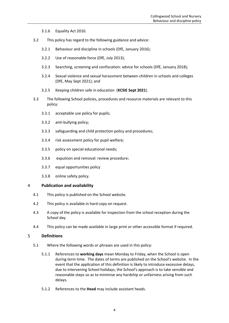3.1.6 Equality Act 2010.

- 3.2 This policy has regard to the following guidance and advice:
	- 3.2.1 Behaviour [and discipline in schools \(DfE, January 2016\);](https://www.gov.uk/government/uploads/system/uploads/attachment_data/file/488034/Behaviour_and_Discipline_in_Schools_-_A_guide_for_headteachers_and_School_Staff.pdf)
	- 3.2.2 Use of [reasonable force](https://www.gov.uk/government/uploads/system/uploads/attachment_data/file/444051/Use_of_reasonable_force_advice_Reviewed_July_2015.pdf) (DfE, July 2013);
	- 3.2.3 [Searching, screening and confiscation: advice for schools \(DfE, January 2018\);](https://www.gov.uk/government/uploads/system/uploads/attachment_data/file/674416/Searching_screening_and_confiscation.pdf)
	- 3.2.4 [Sexual violence and sexual harassment between children in schools and colleges](https://www.gov.uk/government/uploads/system/uploads/attachment_data/file/667862/Sexual_Harassment_and_Sexual_Violence_-_Advice.pdf)  [\(DfE, May Sept 2021\);](https://www.gov.uk/government/uploads/system/uploads/attachment_data/file/667862/Sexual_Harassment_and_Sexual_Violence_-_Advice.pdf) and
	- 3.2.5 [Keeping children safe in education](https://www.gov.uk/government/publications/keeping-children-safe-in-education--2) (**KCSIE Sept 2021**).
- 3.3 The following School policies, procedures and resource materials are relevant to this policy:
	- 3.3.1 acceptable use policy for pupils;
	- 3.3.2 anti-bullying policy;
	- 3.3.3 safeguarding and child protection policy and procedures;
	- 3.3.4 risk assessment policy for pupil welfare;
	- 3.3.5 policy on special educational needs;
	- 3.3.6 expulsion and removal: review procedure;
	- 3.3.7 equal opportunities policy
	- 3.3.8 online safety policy.

## <span id="page-3-0"></span>4 **Publication and availability**

- 4.1 This policy is published on the School website.
- 4.2 This policy is available in hard copy on request.
- 4.3 A copy of the policy is available for inspection from the school reception during the School day.
- 4.4 This policy can be made available in large print or other accessible format if required.

### <span id="page-3-1"></span>5 **Definitions**

- 5.1 Where the following words or phrases are used in this policy:
	- 5.1.1 References to **working days** mean Monday to Friday, when the School is open during term time. The dates of terms are published on the School's website. In the event that the application of this definition is likely to introduce excessive delays, due to intervening School holidays, the School's approach is to take sensible and reasonable steps so as to minimise any hardship or unfairness arising from such delays.
	- 5.1.2 References to the **Head** may include assistant heads.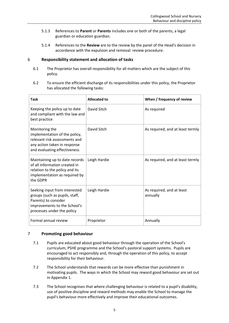- 5.1.3 References to **Parent** or **Parents** includes one or both of the parents, a legal guardian or education guardian.
- 5.1.4 References to the **Review** are to the review by the panel of the Head's decision in accordance with the expulsion and removal: review procedure.

## <span id="page-4-0"></span>6 **Responsibility statement and allocation of tasks**

- 6.1 The Proprietor has overall responsibility for all matters which are the subject of this policy.
- 6.2 To ensure the efficient discharge of its responsibilities under this policy, the Proprietor has allocated the following tasks:

| <b>Task</b>                                                                                                                                           | <b>Allocated to</b> | When / frequency of review            |
|-------------------------------------------------------------------------------------------------------------------------------------------------------|---------------------|---------------------------------------|
| Keeping the policy up to date<br>and compliant with the law and<br>best practice                                                                      | David Sitch         | As required                           |
| Monitoring the<br>implementation of the policy,<br>relevant risk assessments and<br>any action taken in response<br>and evaluating effectiveness      | David Sitch         | As required, and at least termly      |
| Maintaining up to date records<br>of all information created in<br>relation to the policy and its<br>implementation as required by<br>the GDPR        | Leigh Hardie        | As required, and at least termly      |
| Seeking input from interested<br>groups (such as pupils, staff,<br>Parents) to consider<br>improvements to the School's<br>processes under the policy | Leigh Hardie        | As required, and at least<br>annually |
| Formal annual review                                                                                                                                  | Proprietor          | Annually                              |

## <span id="page-4-1"></span>7 **Promoting good behaviour**

- 7.1 Pupils are educated about good behaviour through the operation of the School's curriculum, PSHE programme and the School's pastoral support systems. Pupils are encouraged to act responsibly and, through the operation of this policy, to accept responsibility for their behaviour.
- 7.2 The School understands that rewards can be more effective than punishment in motivating pupils. The ways in which the School may reward good behaviour are set out in [Appendix 1.](#page-10-0)
- 7.3 The School recognises that where challenging behaviour is related to a pupil's disability, use of positive discipline and reward methods may enable the School to manage the pupil's behaviour more effectively and improve their educational outcomes.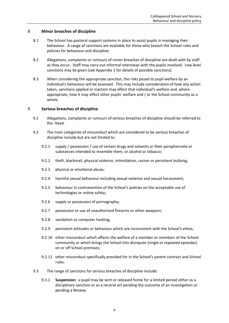## <span id="page-5-0"></span>8 **Minor breaches of discipline**

- 8.1 The School has pastoral support systems in place to assist pupils in managing their behaviour. A range of sanctions are available for those who breach the School rules and policies for behaviour and discipline.
- 8.2 Allegations, complaints or rumours of minor breaches of discipline are dealt with by staff as they occur. Staff may carry out informal interviews with the pupils involved. Low level sanctions may be given (se[e Appendix 1](#page-10-0) for details of possible sanctions).
- 8.3 When considering the appropriate sanction, the risks posed to pupil welfare by an individual's behaviour will be assessed. This may include consideration of how any action taken, sanctions applied or inaction may affect that individual's welfare and, where appropriate, how it may affect other pupils' welfare and / or the School community as a whole.

### <span id="page-5-1"></span>9 **Serious breaches of discipline**

- 9.1 Allegations, complaints or rumours of serious breaches of discipline should be referred to the Head.
- 9.2 The main categories of misconduct which are considered to be serious breaches of discipline include but are not limited to:
	- 9.2.1 supply / possession / use of certain drugs and solvents or their paraphernalia or substances intended to resemble them, or alcohol or tobacco;
	- 9.2.2 theft, blackmail, physical violence, intimidation, racism or persistent bullying;
	- 9.2.3 physical or emotional abuse;
	- 9.2.4 harmful sexual behaviour including sexual violence and sexual harassment;
	- 9.2.5 behaviour in contravention of the School's policies on the acceptable use of technologies or online safety;
	- 9.2.6 supply or possession of pornography;
	- 9.2.7 possession or use of unauthorised firearms or other weapons;
	- 9.2.8 vandalism or computer hacking;
	- 9.2.9 persistent attitudes or behaviour which are inconsistent with the School's ethos;
	- 9.2.10 other misconduct which affects the welfare of a member or members of the School community or which brings the School into disrepute (single or repeated episodes) on or off School premises;
	- 9.2.11 other misconduct specifically provided for in the School's parent contract and School rules.
- 9.3 The range of sanctions for serious breaches of discipline include:
	- 9.3.1 **Suspension:** a pupil may be sent or released home for a limited period either as a disciplinary sanction or as a neutral act pending the outcome of an investigation or pending a Review.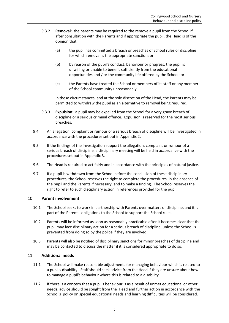- 9.3.2 **Removal**: the parents may be required to the remove a pupil from the School if, after consultation with the Parents and if appropriate the pupil, the Head is of the opinion that:
	- (a) the pupil has committed a breach or breaches of School rules or discipline for which removal is the appropriate sanction; or
	- (b) by reason of the pupil's conduct, behaviour or progress, the pupil is unwilling or unable to benefit sufficiently from the educational opportunities and / or the community life offered by the School; or
	- (c) the Parents have treated the School or members of its staff or any member of the School community unreasonably.

In these circumstances, and at the sole discretion of the Head, the Parents may be permitted to withdraw the pupil as an alternative to removal being required.

- 9.3.3 **Expulsion**: a pupil may be expelled from the School for a very grave breach of discipline or a serious criminal offence. Expulsion is reserved for the most serious breaches.
- 9.4 An allegation, complaint or rumour of a serious breach of discipline will be investigated in accordance with the procedures set out in [Appendix 2.](#page-12-0)
- 9.5 If the findings of the investigation support the allegation, complaint or rumour of a serious breach of discipline, a disciplinary meeting will be held in accordance with the procedures set out in [Appendix 3.](#page-13-0)
- 9.6 The Head is required to act fairly and in accordance with the principles of natural justice.
- 9.7 If a pupil is withdrawn from the School before the conclusion of these disciplinary procedures, the School reserves the right to complete the procedures, in the absence of the pupil and the Parents if necessary, and to make a finding. The School reserves the right to refer to such disciplinary action in references provided for the pupil.

## <span id="page-6-0"></span>10 **Parent involvement**

- 10.1 The School seeks to work in partnership with Parents over matters of discipline, and it is part of the Parents' obligations to the School to support the School rules.
- 10.2 Parents will be informed as soon as reasonably practicable after it becomes clear that the pupil may face disciplinary action for a serious breach of discipline, unless the School is prevented from doing so by the police if they are involved.
- 10.3 Parents will also be notified of disciplinary sanctions for minor breaches of discipline and may be contacted to discuss the matter if it is considered appropriate to do so.

## <span id="page-6-1"></span>11 **Additional needs**

- 11.1 The School will make reasonable adjustments for managing behaviour which is related to a pupil's disability. Staff should seek advice from the Head if they are unsure about how to manage a pupil's behaviour where this is related to a disability.
- 11.2 If there is a concern that a pupil's behaviour is as a result of unmet educational or other needs, advice should be sought from the Head and further action in accordance with the School's policy on special educational needs and learning difficulties will be considered.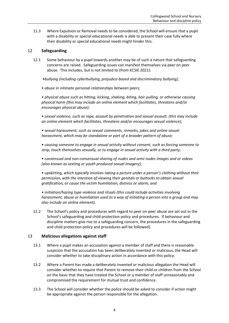11.3 Where Expulsion or Removal needs to be considered, the School will ensure that a pupil with a disability or special educational needs is able to present their case fully where their disability or special educational needs might hinder this.

## <span id="page-7-0"></span>12 **Safeguarding**

- 12.1 Some behaviour by a pupil towards another may be of such a nature that safeguarding concerns are raised. Safeguarding issues can manifest themselves via peer on peer abuse. This includes, but is not limited to (from KCSIE 2021):
	- *•bullying (including cyberbullying, prejudice-based and discriminatory bullying);*
	- *abuse in intimate personal relationships between peers;*

*• physical abuse such as hitting, kicking, shaking, biting, hair pulling, or otherwise causing physical harm (this may include an online element which facilitates, threatens and/or encourages physical abuse);* 

*• sexual violence, such as rape, assault by penetration and sexual assault; (this may include an online element which facilitates, threatens and/or encourages sexual violence);* 

*• sexual harassment, such as sexual comments, remarks, jokes and online sexual harassment, which may be standalone or part of a broader pattern of abuse;*

*• causing someone to engage in sexual activity without consent, such as forcing someone to strip, touch themselves sexually, or to engage in sexual activity with a third party;* 

*• consensual and non-consensual sharing of nudes and semi nudes images and or videos (also known as sexting or youth produced sexual imagery);* 

*• upskirting, which typically involves taking a picture under a person's clothing without their permission, with the intention of viewing their genitals or buttocks to obtain sexual gratification, or cause the victim humiliation, distress or alarm; and* 

*• initiation/hazing type violence and rituals (this could include activities involving harassment, abuse or humiliation used as a way of initiating a person into a group and may also include an online element).*

12.2 The School's policy and procedures with regard to peer on peer abuse are set out in the School's safeguarding and child protection policy and procedures. If behaviour and discipline matters give rise to a safeguarding concern, the procedures in the safeguarding and child protection policy and procedures will be followed).

### <span id="page-7-1"></span>13 **Malicious allegations against staff**

- 13.1 Where a pupil makes an accusation against a member of staff and there is reasonable suspicion that the accusation has been deliberately invented or malicious, the Head will consider whether to take disciplinary action in accordance with this policy.
- 13.2 Where a Parent has made a deliberately invented or malicious allegation the Head will consider whether to require that Parent to remove their child or children from the School on the basis that they have treated the School or a member of staff unreasonably and compromised the requirement for mutual trust and confidence.
- 13.3 The School will consider whether the police should be asked to consider if action might be appropriate against the person responsible for the allegation.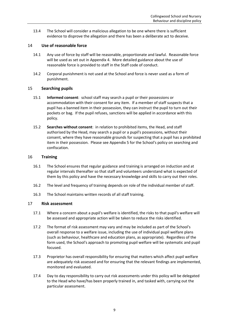13.4 The School will consider a malicious allegation to be one where there is sufficient evidence to disprove the allegation and there has been a deliberate act to deceive.

## <span id="page-8-0"></span>14 **Use of reasonable force**

- 14.1 Any use of force by staff will be reasonable, proportionate and lawful. Reasonable force will be used as set out in [Appendix 4.](#page-16-0) More detailed guidance about the use of reasonable force is provided to staff in the Staff code of conduct.
- 14.2 Corporal punishment is not used at the School and force is never used as a form of punishment.

## <span id="page-8-1"></span>15 **Searching pupils**

- 15.1 **Informed consent**: school staff may search a pupil or their possessions or accommodation with their consent for any item. If a member of staff suspects that a pupil has a banned item in their possession, they can instruct the pupil to turn out their pockets or bag. If the pupil refuses, sanctions will be applied in accordance with this policy.
- 15.2 **Searches without consent**: in relation to prohibited items, the Head, and staff authorised by the Head, may search a pupil or a pupil's possessions, without their consent, where they have reasonable grounds for suspecting that a pupil has a prohibited item in their possession. Please see [Appendix 5](#page-17-0) for the School's policy on searching and confiscation.

## <span id="page-8-2"></span>16 **Training**

- 16.1 The School ensures that regular guidance and training is arranged on induction and at regular intervals thereafter so that staff and volunteers understand what is expected of them by this policy and have the necessary knowledge and skills to carry out their roles.
- 16.2 The level and frequency of training depends on role of the individual member of staff.
- 16.3 The School maintains written records of all staff training.

## <span id="page-8-3"></span>17 **Risk assessment**

- 17.1 Where a concern about a pupil's welfare is identified, the risks to that pupil's welfare will be assessed and appropriate action will be taken to reduce the risks identified.
- 17.2 The format of risk assessment may vary and may be included as part of the School's overall response to a welfare issue, including the use of individual pupil welfare plans (such as behaviour, healthcare and education plans, as appropriate). Regardless of the form used, the School's approach to promoting pupil welfare will be systematic and pupil focused.
- 17.3 Proprietor has overall responsibility for ensuring that matters which affect pupil welfare are adequately risk assessed and for ensuring that the relevant findings are implemented, monitored and evaluated.
- 17.4 Day to day responsibility to carry out risk assessments under this policy will be delegated to the Head who have/has been properly trained in, and tasked with, carrying out the particular assessment.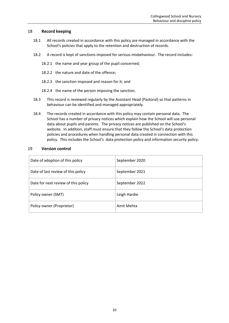## <span id="page-9-0"></span>18 **Record keeping**

- 18.1 All records created in accordance with this policy are managed in accordance with the School's policies that apply to the retention and destruction of records.
- 18.2 A record is kept of sanctions imposed for serious misbehaviour. The record includes:
	- 18.2.1 the name and year group of the pupil concerned;
	- 18.2.2 the nature and date of the offence;
	- 18.2.3 the sanction imposed and reason for it; and
	- 18.2.4 the name of the person imposing the sanction.
- 18.3 This record is reviewed regularly by the Assistant Head (Pastoral) so that patterns in behaviour can be identified and managed appropriately.
- 18.4 The records created in accordance with this policy may contain personal data. The School has a number of privacy notices which explain how the School will use personal data about pupils and parents. The privacy notices are published on the School's website. In addition, staff must ensure that they follow the School's data protection policies and procedures when handling personal data created in connection with this policy. This includes the School's data protection policy and information security policy.

### <span id="page-9-1"></span>19 **Version control**

| Date of adoption of this policy     | September 2020 |
|-------------------------------------|----------------|
| Date of last review of this policy  | September 2021 |
| Date for next review of this policy | September 2022 |
| Policy owner (SMT)                  | Leigh Hardie   |
| Policy owner (Proprietor)           | Amit Mehta     |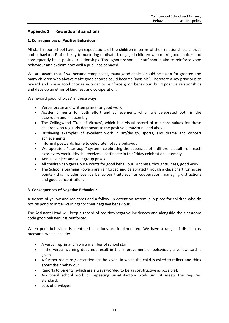## <span id="page-10-0"></span>**Appendix 1 Rewards and sanctions**

### **1. Consequences of Positive Behaviour**

All staff in our school have high expectations of the children in terms of their relationships, choices and behaviour. Praise is key to nurturing motivated, engaged children who make good choices and consequently build positive relationships. Throughout school all staff should aim to reinforce good behaviour and exclaim how well a pupil has behaved.

We are aware that if we became complacent, many good choices could be taken for granted and many children who always make good choices could become 'invisible'. Therefore a key priority is to reward and praise good choices in order to reinforce good behaviour, build positive relationships and develop an ethos of kindness and co-operation.

We reward good 'choices' in these ways:

- Verbal praise and written praise for good work
- Academic merits for both effort and achievement, which are celebrated both in the classroom and in assembly
- The Collingwood 'Tree of Virtues', which is a visual record of our core values for those children who regularly demonstrate the positive behaviour listed above
- Displaying examples of excellent work in art/design, sports, and drama and concert achievements
- Informal postcards home to celebrate notable behaviour
- We operate a "star pupil" system, celebrating the successes of a different pupil from each class every week. He/she receives a certificate in the Friday celebration assembly.
- Annual subject and year group prizes
- All children can gain House Points for good behaviour, kindness, thoughtfulness, good work.
- The School's Learning Powers are reinforced and celebrated through a class chart for house points - this includes positive behaviour traits such as cooperation, managing distractions and good concentration.

## **3. Consequences of Negative Behaviour**

A system of yellow and red cards and a follow-up detention system is in place for children who do not respond to initial warnings for their negative behaviour.

The Assistant Head will keep a record of positive/negative incidences and alongside the classroom code good behaviour is reinforced.

When poor behaviour is identified sanctions are implemented. We have a range of disciplinary measures which include:

- A verbal reprimand from a member of school staff
- If the verbal warning does not result in the improvement of behaviour, a yellow card is given.
- A further red card / detention can be given, in which the child is asked to reflect and think about their behaviour.
- Reports to parents (which are always worded to be as constructive as possible);
- Additional school work or repeating unsatisfactory work until it meets the required standard;
- Loss of privileges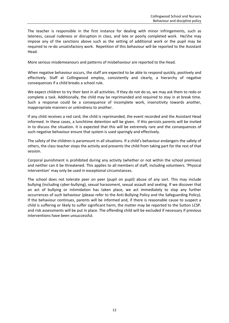The teacher is responsible in the first instance for dealing with minor infringements, such as lateness, casual rudeness or disruption in class, and late or poorly completed work. He/she may impose any of the sanctions above such as the setting of additional work or the pupil may be required to re-do unsatisfactory work. Repetition of this behaviour will be reported to the Assistant Head.

More serious misdemeanours and patterns of misbehaviour are reported to the Head.

When negative behaviour occurs, the staff are expected to be able to respond quickly, positively and effectively. Staff at Collingwood employ, consistently and clearly, a hierarchy of negative consequences if a child breaks a school rule.

We expect children to try their best in all activities. If they do not do so, we may ask them to redo or complete a task. Additionally, the child may be reprimanded and required to stay in at break time. Such a response could be a consequence of incomplete work, insensitivity towards another, inappropriate manners or unkindness to another.

If any child receives a red card, the child is reprimanded, the event recorded and the Assistant Head informed. In these cases, a lunchtime detention will be given. If this persists parents will be invited in to discuss the situation. It is expected that this will be extremely rare and the consequences of such negative behaviour ensure that system is used sparingly and effectively.

The safety of the children is paramount in all situations. If a child's behaviour endangers the safety of others, the class teacher stops the activity and prevents the child from taking part for the rest of that session.

Corporal punishment is prohibited during any activity (whether or not within the school premises) and neither can it be threatened. This applies to all members of staff, including volunteers. 'Physical intervention' may only be used in exceptional circumstances.

The school does not tolerate peer on peer (pupil on pupil) abuse of any sort. This may include bullying (including cyber-bullying), sexual harassment, sexual assault and sexting. If we discover that an act of bullying or intimidation has taken place, we act immediately to stop any further occurrences of such behaviour (please refer to the Anti-Bullying Policy and the Safeguarding Policy). If the behaviour continues, parents will be informed and, if there is reasonable cause to suspect a child is suffering or likely to suffer significant harm, the matter may be reported to the Sutton LCSP. and risk assessments will be put in place. The offending child will be excluded if necessary if previous interventions have been unsuccessful.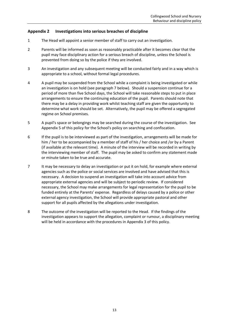## <span id="page-12-0"></span>**Appendix 2 Investigations into serious breaches of discipline**

- 1 The Head will appoint a senior member of staff to carry out an investigation.
- 2 Parents will be informed as soon as reasonably practicable after it becomes clear that the pupil may face disciplinary action for a serious breach of discipline, unless the School is prevented from doing so by the police if they are involved.
- 3 An investigation and any subsequent meeting will be conducted fairly and in a way which is appropriate to a school, without formal legal procedures.
- 4 A pupil may be suspended from the School while a complaint is being investigated or while an investigation is on hold (see paragraph [7](#page-12-1) below). Should a suspension continue for a period of more than five School days, the School will take reasonable steps to put in place arrangements to ensure the continuing education of the pupil. Parents should note that there may be a delay in providing work whilst teaching staff are given the opportunity to determine what work should be set. Alternatively, the pupil may be offered a segregated regime on School premises.
- 5 A pupil's space or belongings may be searched during the course of the investigation. See [Appendix 5](#page-17-0) of this policy for the School's policy on searching and confiscation.
- 6 If the pupil is to be interviewed as part of the investigation, arrangements will be made for him / her to be accompanied by a member of staff of his / her choice and /or by a Parent (if available at the relevant time). A minute of the interview will be recorded in writing by the interviewing member of staff. The pupil may be asked to confirm any statement made or minute taken to be true and accurate.
- <span id="page-12-1"></span>7 It may be necessary to delay an investigation or put it on hold, for example where external agencies such as the police or social services are involved and have advised that this is necessary. A decision to suspend an investigation will take into account advice from appropriate external agencies and will be subject to periodic review. If considered necessary, the School may make arrangements for legal representation for the pupil to be funded entirely at the Parents' expense. Regardless of delays caused by a police or other external agency investigation, the School will provide appropriate pastoral and other support for all pupils affected by the allegations under investigation.
- 8 The outcome of the investigation will be reported to the Head. If the findings of the investigation appears to support the allegation, complaint or rumour, a disciplinary meeting will be held in accordance with the procedures in [Appendix 3](#page-13-0) of this policy.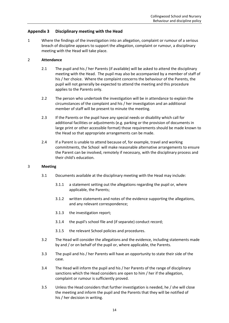## <span id="page-13-0"></span>**Appendix 3 Disciplinary meeting with the Head**

1 Where the findings of the investigation into an allegation, complaint or rumour of a serious breach of discipline appears to support the allegation, complaint or rumour, a disciplinary meeting with the Head will take place.

## 2 **Attendance**

- 2.1 The pupil and his / her Parents (if available) will be asked to attend the disciplinary meeting with the Head. The pupil may also be accompanied by a member of staff of his / her choice. Where the complaint concerns the behaviour of the Parents, the pupil will not generally be expected to attend the meeting and this procedure applies to the Parents only.
- 2.2 The person who undertook the investigation will be in attendance to explain the circumstances of the complaint and his / her investigation and an additional member of staff will be present to minute the meeting.
- 2.3 If the Parents or the pupil have any special needs or disability which call for additional facilities or adjustments (e.g. parking or the provision of documents in large print or other accessible format) those requirements should be made known to the Head so that appropriate arrangements can be made.
- 2.4 If a Parent is unable to attend because of, for example, travel and working commitments, the School will make reasonable alternative arrangements to ensure the Parent can be involved, remotely if necessary, with the disciplinary process and their child's education.

### 3 **Meeting**

- 3.1 Documents available at the disciplinary meeting with the Head may include:
	- 3.1.1 a statement setting out the allegations regarding the pupil or, where applicable, the Parents;
	- 3.1.2 written statements and notes of the evidence supporting the allegations, and any relevant correspondence;
	- 3.1.3 the investigation report;
	- 3.1.4 the pupil's school file and (if separate) conduct record;
	- 3.1.5 the relevant School policies and procedures.
- 3.2 The Head will consider the allegations and the evidence, including statements made by and / or on behalf of the pupil or, where applicable, the Parents.
- 3.3 The pupil and his / her Parents will have an opportunity to state their side of the case.
- 3.4 The Head will inform the pupil and his / her Parents of the range of disciplinary sanctions which the Head considers are open to him / her if the allegation, complaint or rumour is sufficiently proved.
- 3.5 Unless the Head considers that further investigation is needed, he / she will close the meeting and inform the pupil and the Parents that they will be notified of his / her decision in writing.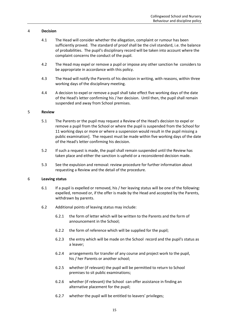### 4 **Decision**

- 4.1 The Head will consider whether the allegation, complaint or rumour has been sufficiently proved. The standard of proof shall be the civil standard, i.e. the balance of probabilities. The pupil's disciplinary record will be taken into account where the complaint concerns the conduct of the pupil.
- 4.2 The Head may expel or remove a pupil or impose any other sanction he considers to be appropriate in accordance with this policy.
- 4.3 The Head will notify the Parents of his decision in writing, with reasons, within three working days of the disciplinary meeting.
- 4.4 A decision to expel or remove a pupil shall take effect five working days of the date of the Head's letter confirming his / her decision. Until then, the pupil shall remain suspended and away from School premises.

### 5 **Review**

- 5.1 The Parents or the pupil may request a Review of the Head's decision to expel or remove a pupil from the School or where the pupil is suspended from the School for 11 working days or more or where a suspension would result in the pupil missing a public examination]. The request must be made within five working days of the date of the Head's letter confirming his decision.
- 5.2 If such a request is made, the pupil shall remain suspended until the Review has taken place and either the sanction is upheld or a reconsidered decision made.
- 5.3 See the expulsion and removal: review procedure for further information about requesting a Review and the detail of the procedure.

### 6 **Leaving status**

- 6.1 If a pupil is expelled or removed, his / her leaving status will be one of the following: expelled, removed or, if the offer is made by the Head and accepted by the Parents, withdrawn by parents.
- 6.2 Additional points of leaving status may include:
	- 6.2.1 the form of letter which will be written to the Parents and the form of announcement in the School;
	- 6.2.2 the form of reference which will be supplied for the pupil;
	- 6.2.3 the entry which will be made on the School record and the pupil's status as a leaver;
	- 6.2.4 arrangements for transfer of any course and project work to the pupil, his / her Parents or another school;
	- 6.2.5 whether (if relevant) the pupil will be permitted to return to School premises to sit public examinations;
	- 6.2.6 whether (if relevant) the School can offer assistance in finding an alternative placement for the pupil;
	- 6.2.7 whether the pupil will be entitled to leavers' privileges;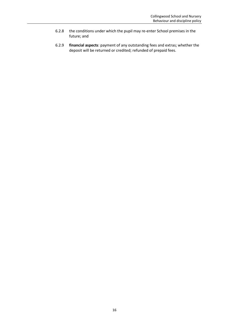- 6.2.8 the conditions under which the pupil may re-enter School premises in the future; and
- 6.2.9 **financial aspects**: payment of any outstanding fees and extras; whether the deposit will be returned or credited; refunded of prepaid fees.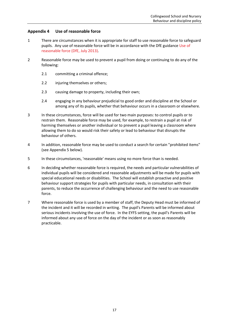## <span id="page-16-0"></span>**Appendix 4 Use of reasonable force**

- 1 There are circumstances when it is appropriate for staff to use reasonable force to safeguard pupils. Any use of reasonable force will be in accordance with the DfE guidance [Use of](https://www.gov.uk/government/uploads/system/uploads/attachment_data/file/444051/Use_of_reasonable_force_advice_Reviewed_July_2015.pdf)  [reasonable force \(DfE, July 2013\).](https://www.gov.uk/government/uploads/system/uploads/attachment_data/file/444051/Use_of_reasonable_force_advice_Reviewed_July_2015.pdf)
- 2 Reasonable force may be used to prevent a pupil from doing or continuing to do any of the following:
	- 2.1 committing a criminal offence;
	- 2.2 injuring themselves or others;
	- 2.3 causing damage to property, including their own;
	- 2.4 engaging in any behaviour prejudicial to good order and discipline at the School or among any of its pupils, whether that behaviour occurs in a classroom or elsewhere.
- 3 In these circumstances, force will be used for two main purposes: to control pupils or to restrain them. Reasonable force may be used, for example, to restrain a pupil at risk of harming themselves or another individual or to prevent a pupil leaving a classroom where allowing them to do so would risk their safety or lead to behaviour that disrupts the behaviour of others.
- 4 In addition, reasonable force may be used to conduct a search for certain "prohibited items" (see [Appendix 5](#page-17-0) below).
- 5 In these circumstances, 'reasonable' means using no more force than is needed.
- 6 In deciding whether reasonable force is required, the needs and particular vulnerabilities of individual pupils will be considered and reasonable adjustments will be made for pupils with special educational needs or disabilities. The School will establish proactive and positive behaviour support strategies for pupils with particular needs, in consultation with their parents, to reduce the occurrence of challenging behaviour and the need to use reasonable force.
- 7 Where reasonable force is used by a member of staff, the Deputy Head must be informed of the incident and it will be recorded in writing. The pupil's Parents will be informed about serious incidents involving the use of force. In the EYFS setting, the pupil's Parents will be informed about any use of force on the day of the incident or as soon as reasonably practicable.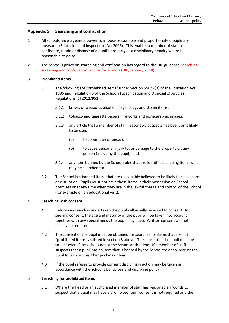## <span id="page-17-0"></span>**Appendix 5 Searching and confiscation**

- 1 All schools have a general power to impose reasonable and proportionate disciplinary measures (Education and Inspections Act 2006). This enables a member of staff to confiscate, retain or dispose of a pupil's property as a disciplinary penalty where it is reasonable to do so.
- 2 The School's policy on searching and confiscation has regard to the DfE guidance Searching, [screening and confiscation: advice for schools \(DfE, January 2018\).](https://www.gov.uk/government/uploads/system/uploads/attachment_data/file/674416/Searching_screening_and_confiscation.pdf)

### <span id="page-17-1"></span>3 **Prohibited items**

- 3.1 The following are "prohibited items" under Section 550ZA(3) of the Education Act 1996 and Regulation 3 of the Schools (Specification and Disposal of Articles) Regulations (SI 2012/951):
	- 3.1.1 knives or weapons, alcohol, illegal drugs and stolen items;
	- 3.1.2 tobacco and cigarette papers, fireworks and pornographic images;
	- 3.1.3 any article that a member of staff reasonably suspects has been, or is likely to be used:
		- (a) to commit an offence; or
		- (b) to cause personal injury to, or damage to the property of, any person (including the pupil); and
	- 3.1.4 any item banned by the School rules that are identified as being items which may be searched for.
- <span id="page-17-3"></span><span id="page-17-2"></span>3.2 The School has banned items that are reasonably believed to be likely to cause harm or disruption. Pupils must not have these items in their possession on School premises or at any time when they are in the lawful charge and control of the School (for example on an educational visit).

### 4 **Searching with consent**

- 4.1 Before any search is undertaken the pupil will usually be asked to consent. In seeking consent, the age and maturity of the pupil will be taken into account together with any special needs the pupil may have. Written consent will not usually be required.
- 4.2 The consent of the pupil must be obtained for searches for items that are not "prohibited items" as listed in section [3](#page-17-1) above. The consent of the pupil must be sought even if he / she is not at the School at the time. If a member of staff suspects that a pupil has an item that is banned by the School they can instruct the pupil to turn out his / her pockets or bag.
- 4.3 If the pupil refuses to provide consent disciplinary action may be taken in accordance with the School's behaviour and discipline policy.

### 5 **Searching for prohibited items**

5.1 Where the Head or an authorised member of staff has reasonable grounds to suspect that a pupil may have a prohibited item, consent is not required and the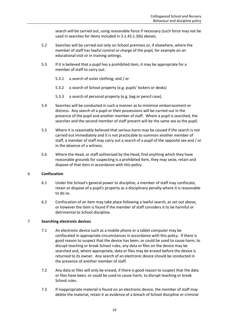search will be carried out, using reasonable force if necessary (such force may not be used in searches for items included i[n 3.1.4](#page-17-2)[3.1.3\(b\)](#page-17-3) above).

- 5.2 Searches will be carried out only on School premises or, if elsewhere, where the member of staff has lawful control or charge of the pupil, for example on an educational visit or in training settings.
- 5.3 If it is believed that a pupil has a prohibited item, it may be appropriate for a member of staff to carry out:
	- 5.3.1 a search of outer clothing; and / or
	- 5.3.2 a search of School property (e.g. pupils' lockers or desks)
	- 5.3.3 a search of personal property (e.g. bag or pencil case).
- 5.4 Searches will be conducted in such a manner as to minimise embarrassment or distress. Any search of a pupil or their possessions will be carried out in the presence of the pupil and another member of staff. Where a pupil is searched, the searcher and the second member of staff present will be the same sex as the pupil.
- 5.5 Where it is reasonably believed that serious harm may be caused if the search is not carried out immediately and it is not practicable to summon another member of staff, a member of staff may carry out a search of a pupil of the opposite sex and / or in the absence of a witness.
- 5.6 Where the Head, or staff authorised by the Head, find anything which they have reasonable grounds for suspecting is a prohibited item, they may seize, retain and dispose of that item in accordance with this policy.

### 6 **Confiscation**

- 6.1 Under the School's general power to discipline, a member of staff may confiscate, retain or dispose of a pupil's property as a disciplinary penalty where it is reasonable to do so.
- 6.2 Confiscation of an item may take place following a lawful search, as set out above, or however the item is found if the member of staff considers it to be harmful or detrimental to School discipline.

### 7 **Searching electronic devices**

- 7.1 An electronic device such as a mobile phone or a tablet computer may be confiscated in appropriate circumstances in accordance with this policy. If there is good reason to suspect that the device has been, or could be used to cause harm, to disrupt teaching or break School rules, any data or files on the device may be searched and, where appropriate, data or files may be erased before the device is returned to its owner. Any search of an electronic device should be conducted in the presence of another member of staff.
- 7.2 Any data or files will only be erased, if there is good reason to suspect that the data or files have been, or could be used to cause harm, to disrupt teaching or break School rules.
- 7.3 If inappropriate material is found on an electronic device, the member of staff may delete the material, retain it as evidence of a breach of School discipline or criminal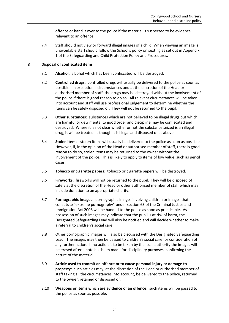offence or hand it over to the police if the material is suspected to be evidence relevant to an offence.

7.4 Staff should not view or forward illegal images of a child. When viewing an image is unavoidable staff should follow the School's policy on sexting as set out in Appendix 1 of the Safeguarding and Child Protection Policy and Procedures.

## 8 **Disposal of confiscated items**

- 8.1 **Alcohol**: alcohol which has been confiscated will be destroyed.
- 8.2 **Controlled drugs**: controlled drugs will usually be delivered to the police as soon as possible. In exceptional circumstances and at the discretion of the Head or authorised member of staff, the drugs may be destroyed without the involvement of the police if there is good reason to do so. All relevant circumstances will be taken into account and staff will use professional judgement to determine whether the items can be safely disposed of. They will not be returned to the pupil.
- 8.3 **Other substances**: substances which are not believed to be illegal drugs but which are harmful or detrimental to good order and discipline may be confiscated and destroyed. Where it is not clear whether or not the substance seized is an illegal drug, it will be treated as though it is illegal and disposed of as above.
- 8.4 **Stolen items**: stolen items will usually be delivered to the police as soon as possible. However, if, in the opinion of the Head or authorised member of staff, there is good reason to do so, stolen items may be returned to the owner without the involvement of the police. This is likely to apply to items of low value, such as pencil cases.
- 8.5 **Tobacco or cigarette papers**: tobacco or cigarette papers will be destroyed.
- 8.6 **Fireworks**: fireworks will not be returned to the pupil. They will be disposed of safely at the discretion of the Head or other authorised member of staff which may include donation to an appropriate charity.
- 8.7 **Pornographic images**: pornographic images involving children or images that constitute "extreme pornography" under section 63 of the Criminal Justice and Immigration Act 2008 will be handed to the police as soon as practicable. As possession of such images may indicate that the pupil is at risk of harm, the Designated Safeguarding Lead will also be notified and will decide whether to make a referral to children's social care.
- 8.8 Other pornographic images will also be discussed with the Designated Safeguarding Lead. The images may then be passed to children's social care for consideration of any further action. If no action is to be taken by the local authority the images will be erased after a note has been made for disciplinary purposes, confirming the nature of the material.
- 8.9 **Article used to commit an offence or to cause personal injury or damage to property**: such articles may, at the discretion of the Head or authorised member of staff taking all the circumstances into account, be delivered to the police, returned to the owner, retained or disposed of.
- 8.10 **Weapons or items which are evidence of an offence**: such items will be passed to the police as soon as possible.